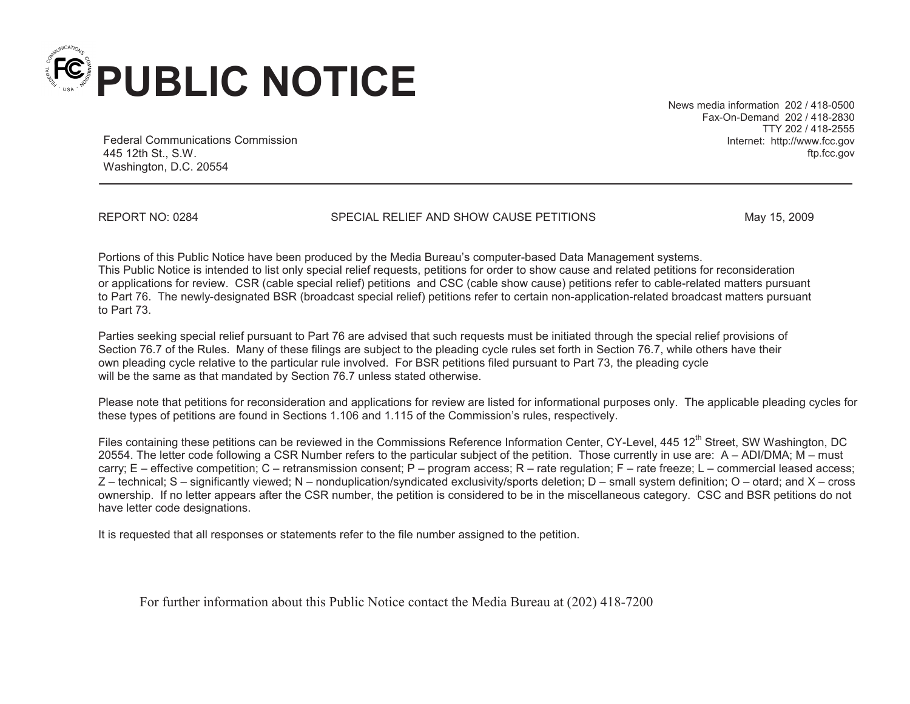

News media information 202 / 418-0500 Fax-On-Demand 202 / 418-2830 TTY 202 / 418-2555 Internet: http://www.fcc.gov ftp.fcc.gov

Federal Communications Commission 445 12th St., S.W. Washington, D.C. 20554

REPORT NO: 0284 SPECIAL RELIEF AND SHOW CAUSE PETITIONS May 15, 2009

Portions of this Public Notice have been produced by the Media Bureau's computer-based Data Management systems. This Public Notice is intended to list only special relief requests, petitions for order to show cause and related petitions for reconsideration or applications for review. CSR (cable special relief) petitions and CSC (cable show cause) petitions refer to cable-related matters pursuant to Part 76. The newly-designated BSR (broadcast special relief) petitions refer to certain non-application-related broadcast matters pursuant to Part 73.

Parties seeking special relief pursuant to Part 76 are advised that such requests must be initiated through the special relief provisions of Section 76.7 of the Rules. Many of these filings are subject to the pleading cycle rules set forth in Section 76.7, while others have their own pleading cycle relative to the particular rule involved. For BSR petitions filed pursuant to Part 73, the pleading cycle will be the same as that mandated by Section 76.7 unless stated otherwise.

Please note that petitions for reconsideration and applications for review are listed for informational purposes only. The applicable pleading cycles for these types of petitions are found in Sections 1.106 and 1.115 of the Commission's rules, respectively.

Files containing these petitions can be reviewed in the Commissions Reference Information Center, CY-Level, 445 12<sup>th</sup> Street, SW Washington, DC 20554. The letter code following a CSR Number refers to the particular subject of the petition. Those currently in use are: A – ADI/DMA; M – must carry; E – effective competition; C – retransmission consent; P – program access; R – rate regulation; F – rate freeze; L – commercial leased access; Z – technical; S – significantly viewed; N – nonduplication/syndicated exclusivity/sports deletion; D – small system definition; O – otard; and X – cross ownership. If no letter appears after the CSR number, the petition is considered to be in the miscellaneous category. CSC and BSR petitions do not have letter code designations.

It is requested that all responses or statements refer to the file number assigned to the petition.

For further information about this Public Notice contact the Media Bureau at (202) 418-7200